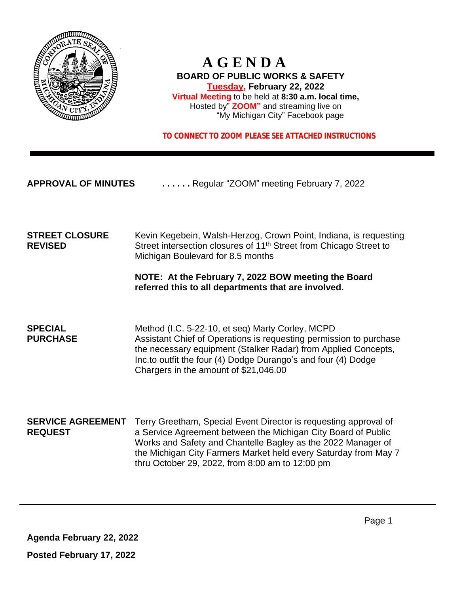

## **A G E N D A BOARD OF PUBLIC WORKS & SAFETY Tuesday, February 22, 2022 Virtual Meeting** to be held at **8:30 a.m. local time,** Hosted by" **ZOOM"** and streaming live on "My Michigan City" Facebook page

 **TO CONNECT TO ZOOM PLEASE SEE ATTACHED INSTRUCTIONS**

**APPROVAL OF MINUTES . . . . . .** Regular "ZOOM" meeting February 7, 2022

**STREET CLOSURE** Kevin Kegebein, Walsh-Herzog, Crown Point, Indiana, is requesting REVISED Street intersection closures of 11<sup>th</sup> Street from Chicago Street to Michigan Boulevard for 8.5 months

### **NOTE: At the February 7, 2022 BOW meeting the Board referred this to all departments that are involved.**

**SPECIAL** Method (I.C. 5-22-10, et seq) Marty Corley, MCPD<br> **PURCHASE** Assistant Chief of Operations is requesting permiss Assistant Chief of Operations is requesting permission to purchase the necessary equipment (Stalker Radar) from Applied Concepts, Inc.to outfit the four (4) Dodge Durango's and four (4) Dodge Chargers in the amount of \$21,046.00

**SERVICE AGREEMENT** Terry Greetham, Special Event Director is requesting approval of **REQUEST** a Service Agreement between the Michigan City Board of Public Works and Safety and Chantelle Bagley as the 2022 Manager of the Michigan City Farmers Market held every Saturday from May 7 thru October 29, 2022, from 8:00 am to 12:00 pm

**Agenda February 22, 2022**

**Posted February 17, 2022**

Page 1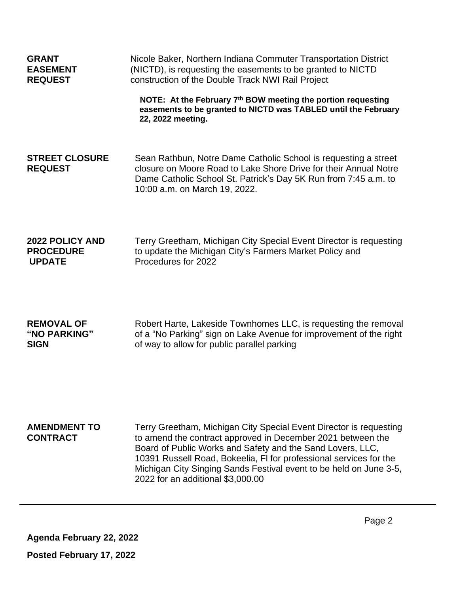| <b>GRANT</b>                            | Nicole Baker, Northern Indiana Commuter Transportation District                                                                                                                                                                                                                                                                                                                  |  |  |
|-----------------------------------------|----------------------------------------------------------------------------------------------------------------------------------------------------------------------------------------------------------------------------------------------------------------------------------------------------------------------------------------------------------------------------------|--|--|
| <b>EASEMENT</b>                         | (NICTD), is requesting the easements to be granted to NICTD                                                                                                                                                                                                                                                                                                                      |  |  |
| <b>REQUEST</b>                          | construction of the Double Track NWI Rail Project                                                                                                                                                                                                                                                                                                                                |  |  |
|                                         | NOTE: At the February 7th BOW meeting the portion requesting<br>easements to be granted to NICTD was TABLED until the February<br>22, 2022 meeting.                                                                                                                                                                                                                              |  |  |
| <b>STREET CLOSURE</b><br><b>REQUEST</b> | Sean Rathbun, Notre Dame Catholic School is requesting a street<br>closure on Moore Road to Lake Shore Drive for their Annual Notre<br>Dame Catholic School St. Patrick's Day 5K Run from 7:45 a.m. to<br>10:00 a.m. on March 19, 2022.                                                                                                                                          |  |  |
| <b>2022 POLICY AND</b>                  | Terry Greetham, Michigan City Special Event Director is requesting                                                                                                                                                                                                                                                                                                               |  |  |
| <b>PROCEDURE</b>                        | to update the Michigan City's Farmers Market Policy and                                                                                                                                                                                                                                                                                                                          |  |  |
| <b>UPDATE</b>                           | Procedures for 2022                                                                                                                                                                                                                                                                                                                                                              |  |  |
| <b>REMOVAL OF</b>                       | Robert Harte, Lakeside Townhomes LLC, is requesting the removal                                                                                                                                                                                                                                                                                                                  |  |  |
| "NO PARKING"                            | of a "No Parking" sign on Lake Avenue for improvement of the right                                                                                                                                                                                                                                                                                                               |  |  |
| <b>SIGN</b>                             | of way to allow for public parallel parking                                                                                                                                                                                                                                                                                                                                      |  |  |
| <b>AMENDMENT TO</b><br><b>CONTRACT</b>  | Terry Greetham, Michigan City Special Event Director is requesting<br>to amend the contract approved in December 2021 between the<br>Board of Public Works and Safety and the Sand Lovers, LLC,<br>10391 Russell Road, Bokeelia, FI for professional services for the<br>Michigan City Singing Sands Festival event to be held on June 3-5,<br>2022 for an additional \$3,000.00 |  |  |

**Agenda February 22, 2022**

**Posted February 17, 2022**

Page 2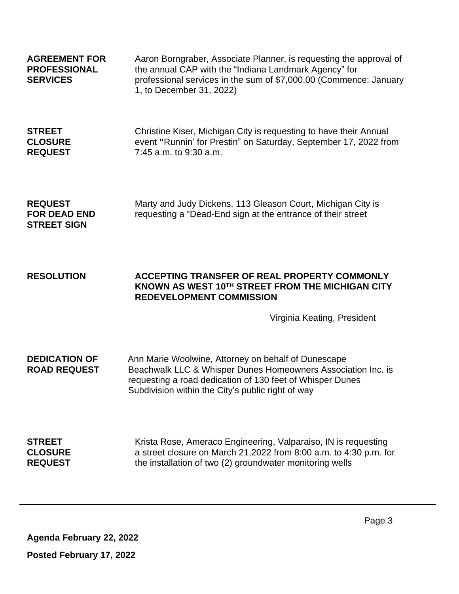| <b>AGREEMENT FOR</b><br><b>PROFESSIONAL</b><br><b>SERVICES</b> | Aaron Borngraber, Associate Planner, is requesting the approval of<br>the annual CAP with the "Indiana Landmark Agency" for<br>professional services in the sum of \$7,000.00 (Commence: January<br>1, to December 31, 2022)          |
|----------------------------------------------------------------|---------------------------------------------------------------------------------------------------------------------------------------------------------------------------------------------------------------------------------------|
| <b>STREET</b><br><b>CLOSURE</b><br><b>REQUEST</b>              | Christine Kiser, Michigan City is requesting to have their Annual<br>event "Runnin' for Prestin" on Saturday, September 17, 2022 from<br>7:45 a.m. to 9:30 a.m.                                                                       |
| <b>REQUEST</b><br><b>FOR DEAD END</b><br><b>STREET SIGN</b>    | Marty and Judy Dickens, 113 Gleason Court, Michigan City is<br>requesting a "Dead-End sign at the entrance of their street                                                                                                            |
| <b>RESOLUTION</b>                                              | ACCEPTING TRANSFER OF REAL PROPERTY COMMONLY<br>KNOWN AS WEST 10TH STREET FROM THE MICHIGAN CITY<br><b>REDEVELOPMENT COMMISSION</b><br>Virginia Keating, President                                                                    |
| <b>DEDICATION OF</b><br><b>ROAD REQUEST</b>                    | Ann Marie Woolwine, Attorney on behalf of Dunescape<br>Beachwalk LLC & Whisper Dunes Homeowners Association Inc. is<br>requesting a road dedication of 130 feet of Whisper Dunes<br>Subdivision within the City's public right of way |
| <b>STREET</b><br><b>CLOSURE</b><br><b>REQUEST</b>              | Krista Rose, Ameraco Engineering, Valparaiso, IN is requesting<br>a street closure on March 21,2022 from 8:00 a.m. to 4:30 p.m. for<br>the installation of two (2) groundwater monitoring wells                                       |

**Agenda February 22, 2022**

 $\hat{\boldsymbol{\theta}}$ 

**Posted February 17, 2022**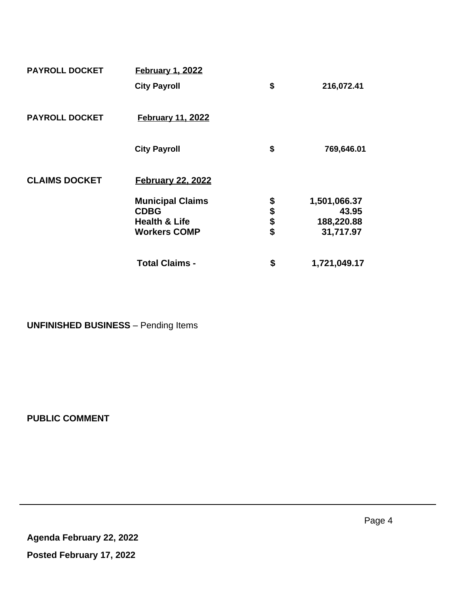| <b>PAYROLL DOCKET</b> | <b>February 1, 2022</b>  |          |              |
|-----------------------|--------------------------|----------|--------------|
|                       | <b>City Payroll</b>      | \$       | 216,072.41   |
| <b>PAYROLL DOCKET</b> | <b>February 11, 2022</b> |          |              |
|                       | <b>City Payroll</b>      | \$       | 769,646.01   |
| <b>CLAIMS DOCKET</b>  | <b>February 22, 2022</b> |          |              |
|                       | <b>Municipal Claims</b>  |          | 1,501,066.37 |
|                       | <b>CDBG</b>              | \$\$\$\$ | 43.95        |
|                       | <b>Health &amp; Life</b> |          | 188,220.88   |
|                       | <b>Workers COMP</b>      |          | 31,717.97    |
|                       | <b>Total Claims -</b>    | \$       | 1,721,049.17 |

**UNFINISHED BUSINESS** – Pending Items

**PUBLIC COMMENT**

 $\hat{\boldsymbol{r}}$ 

**Agenda February 22, 2022 Posted February 17, 2022**

Page 4